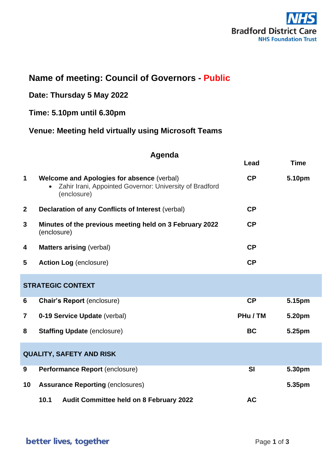

# **Name of meeting: Council of Governors - Public**

## **Date: Thursday 5 May 2022**

### **Time: 5.10pm until 6.30pm**

### **Venue: Meeting held virtually using Microsoft Teams**

#### **Agenda**

|                                 |                                                                                                                             | Lead      | <b>Time</b> |
|---------------------------------|-----------------------------------------------------------------------------------------------------------------------------|-----------|-------------|
| $\mathbf 1$                     | <b>Welcome and Apologies for absence (verbal)</b><br>Zahir Irani, Appointed Governor: University of Bradford<br>(enclosure) | CP        | 5.10pm      |
| $\mathbf{2}$                    | Declaration of any Conflicts of Interest (verbal)                                                                           | CP        |             |
| 3                               | Minutes of the previous meeting held on 3 February 2022<br>(enclosure)                                                      | <b>CP</b> |             |
| 4                               | <b>Matters arising (verbal)</b>                                                                                             | <b>CP</b> |             |
| 5                               | <b>Action Log (enclosure)</b>                                                                                               | <b>CP</b> |             |
| <b>STRATEGIC CONTEXT</b>        |                                                                                                                             |           |             |
| 6                               | <b>Chair's Report (enclosure)</b>                                                                                           | <b>CP</b> | 5.15pm      |
| 7                               | 0-19 Service Update (verbal)                                                                                                | PHu / TM  | 5.20pm      |
| 8                               | <b>Staffing Update (enclosure)</b>                                                                                          | <b>BC</b> | 5.25pm      |
| <b>QUALITY, SAFETY AND RISK</b> |                                                                                                                             |           |             |
| 9                               | Performance Report (enclosure)                                                                                              | <b>SI</b> | 5.30pm      |
| 10                              | <b>Assurance Reporting (enclosures)</b>                                                                                     |           | 5.35pm      |
|                                 | 10.1<br>Audit Committee held on 8 February 2022                                                                             | <b>AC</b> |             |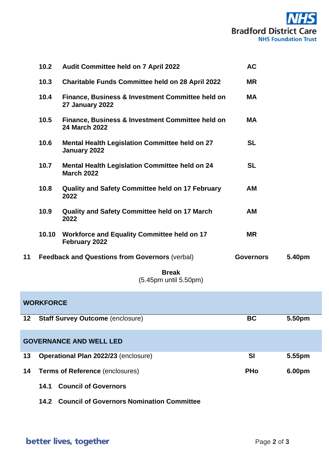

|    | 10.2  | Audit Committee held on 7 April 2022                                       | <b>AC</b>        |        |
|----|-------|----------------------------------------------------------------------------|------------------|--------|
|    | 10.3  | <b>Charitable Funds Committee held on 28 April 2022</b>                    | <b>MR</b>        |        |
|    | 10.4  | Finance, Business & Investment Committee held on<br><b>27 January 2022</b> | <b>MA</b>        |        |
|    | 10.5  | Finance, Business & Investment Committee held on<br>24 March 2022          | <b>MA</b>        |        |
|    | 10.6  | <b>Mental Health Legislation Committee held on 27</b><br>January 2022      | <b>SL</b>        |        |
|    | 10.7  | <b>Mental Health Legislation Committee held on 24</b><br><b>March 2022</b> | <b>SL</b>        |        |
|    | 10.8  | <b>Quality and Safety Committee held on 17 February</b><br>2022            | AM               |        |
|    | 10.9  | <b>Quality and Safety Committee held on 17 March</b><br>2022               | <b>AM</b>        |        |
|    | 10.10 | <b>Workforce and Equality Committee held on 17</b><br>February 2022        | <b>MR</b>        |        |
| 11 |       | <b>Feedback and Questions from Governors (verbal)</b>                      | <b>Governors</b> | 5.40pm |
|    |       | <b>Break</b>                                                               |                  |        |
|    |       | (5.45pm until 5.50pm)                                                      |                  |        |

| <b>WORKFORCE</b>               |                                         |            |        |  |
|--------------------------------|-----------------------------------------|------------|--------|--|
| 12 <sup>°</sup>                | <b>Staff Survey Outcome (enclosure)</b> | <b>BC</b>  | 5.50pm |  |
| <b>GOVERNANCE AND WELL LED</b> |                                         |            |        |  |
| 13                             | Operational Plan 2022/23 (enclosure)    | <b>SI</b>  | 5.55pm |  |
| 14                             | <b>Terms of Reference (enclosures)</b>  | <b>PHo</b> | 6.00pm |  |
|                                | <b>Council of Governors</b><br>14.1     |            |        |  |

**14.2 Council of Governors Nomination Committee**